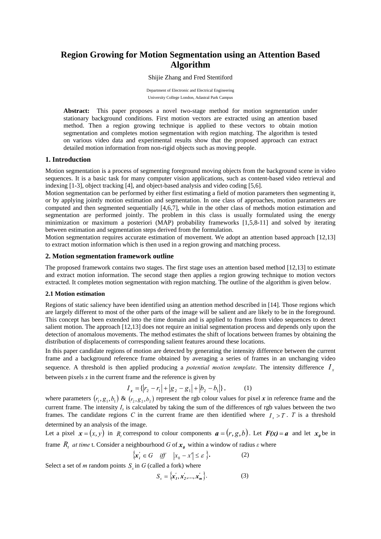# **Region Growing for Motion Segmentation using an Attention Based Algorithm**

Shijie Zhang and Fred Stentiford

Department of Electronic and Electrical Engineering University College London, Adastral Park Campus

**Abstract:** This paper proposes a novel two-stage method for motion segmentation under stationary background conditions. First motion vectors are extracted using an attention based method. Then a region growing technique is applied to these vectors to obtain motion segmentation and completes motion segmentation with region matching. The algorithm is tested on various video data and experimental results show that the proposed approach can extract detailed motion information from non-rigid objects such as moving people.

### **1. Introduction**

Motion segmentation is a process of segmenting foreground moving objects from the background scene in video sequences. It is a basic task for many computer vision applications, such as content-based video retrieval and indexing [1-3], object tracking [4], and object-based analysis and video coding [5,6].

Motion segmentation can be performed by either first estimating a field of motion parameters then segmenting it, or by applying jointly motion estimation and segmentation. In one class of approaches, motion parameters are computed and then segmented sequentially [4,6,7], while in the other class of methods motion estimation and segmentation are performed jointly. The problem in this class is usually formulated using the energy minimization or maximum a posteriori (MAP) probability frameworks [1,5,8-11] and solved by iterating between estimation and segmentation steps derived from the formulation.

Motion segmentation requires accurate estimation of movement. We adopt an attention based approach [12,13] to extract motion information which is then used in a region growing and matching process.

### **2. Motion segmentation framework outline**

The proposed framework contains two stages. The first stage uses an attention based method [12,13] to estimate and extract motion information. The second stage then applies a region growing technique to motion vectors extracted. It completes motion segmentation with region matching. The outline of the algorithm is given below.

#### **2.1 Motion estimation**

Regions of static saliency have been identified using an attention method described in [14]. Those regions which are largely different to most of the other parts of the image will be salient and are likely to be in the foreground. This concept has been extended into the time domain and is applied to frames from video sequences to detect salient motion. The approach [12,13] does not require an initial segmentation process and depends only upon the detection of anomalous movements. The method estimates the shift of locations between frames by obtaining the distribution of displacements of corresponding salient features around these locations.

In this paper candidate regions of motion are detected by generating the intensity difference between the current frame and a background reference frame obtained by averaging a series of frames in an unchanging video sequence. A threshold is then applied producing a *potential motion template*. The intensity difference  $I_x$ between pixels *x* in the current frame and the reference is given by

$$
I_x = \{ |r_2 - r_1| + |g_2 - g_1| + |b_2 - b_1| \},
$$
 (1)

where parameters  $(r_1, g_1, b_1)$  &  $(r_2, g_2, b_2)$  represent the rgb colour values for pixel x in reference frame and the current frame. The intensity  $I_x$  is calculated by taking the sum of the differences of rgb values between the two frames. The candidate regions C in the current frame are then identified where  $I_x > T$ . T is a threshold determined by an analysis of the image.

Let a pixel  $x = (x, y)$  in  $R_i$  correspond to colour components  $a = (r, g, b)$ . Let  $F(x) = a$  and let  $x_0$  be in frame  $R_t$  *at time* t. Consider a neighbourhood *G* of  $x_0$  within a window of radius *ε* where

$$
\{x'_i \in G \quad \text{iff} \quad |x_0 - x'| \le \varepsilon \,\}.\tag{2}
$$

Select a set of *m* random points  $S_{\nu}$  in *G* (called a fork) where

$$
S_x = \{x_1', x_2', ..., x_m'\}.
$$
 (3)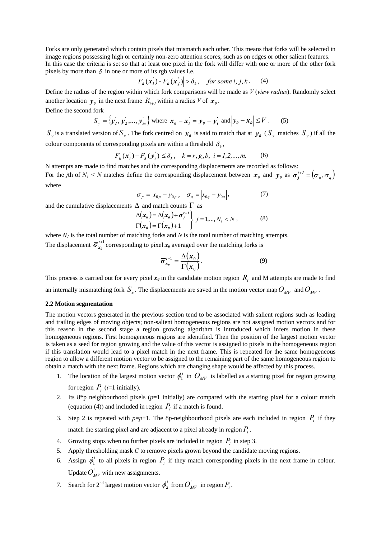Forks are only generated which contain pixels that mismatch each other. This means that forks will be selected in image regions possessing high or certainly non-zero attention scores, such as on edges or other salient features. In this case the criteria is set so that at least one pixel in the fork will differ with one or more of the other fork pixels by more than  $\delta$  in one or more of its rgb values i.e.

$$
\left| F_k(\mathbf{x}_i') - F_k(\mathbf{x}_j') \right| > \delta_k, \quad \text{for some } i, j, k. \tag{4}
$$

Define the radius of the region within which fork comparisons will be made as *V* (*view radius*). Randomly select another location  $y_{\theta}$  in the next frame  $R_{t+1}$  within a radius *V* of  $x_{\theta}$ .

Define the second fork

$$
S_{y} = \left\{ \mathbf{y}_{1}^{\prime}, \mathbf{y}_{2}^{\prime}, ..., \mathbf{y}_{m}^{\prime} \right\} \text{ where } \mathbf{x}_{\theta} - \mathbf{x}_{i}^{\prime} = \mathbf{y}_{\theta} - \mathbf{y}_{i}^{\prime} \text{ and } \left| y_{\theta} - \mathbf{x}_{\theta} \right| \leq V. \tag{5}
$$

 $S_y$  is a translated version of  $S_x$ . The fork centred on  $x_0$  is said to match that at  $y_0$  ( $S_x$  matches  $S_y$ ) if all the colour components of corresponding pixels are within a threshold  $\delta_k$ ,

$$
F_k(\mathbf{x}_i) - F_k(\mathbf{y}_i') \le \delta_k, \quad k = r, g, b, \quad i = 1, 2, ..., m.
$$
 (6)

N attempts are made to find matches and the corresponding displacements are recorded as follows: For the *j*th of  $N_l < N$  matches define the corresponding displacement between  $x_{\theta}$  and  $y_{\theta}$  as  $\sigma_j^{t+1} = (\sigma_p, \sigma_q)$ where

$$
\sigma_p = |x_{0p} - y_{0p}|, \quad \sigma_q = |x_{0q} - y_{0q}|,
$$
\n(7)

and the cumulative displacements  $\Delta$  and match counts  $\Gamma$  as

$$
\Delta(\mathbf{x}_{\theta}) = \Delta(\mathbf{x}_{\theta}) + \boldsymbol{\sigma}_{j}^{t+1} \left\{ j = 1, ..., N_{t} < N ,\right\} \tag{8}
$$
\n
$$
\Gamma(\mathbf{x}_{\theta}) = \Gamma(\mathbf{x}_{\theta}) + 1
$$

where  $N_l$  is the total number of matching forks and  $N$  is the total number of matching attempts. The displacement  $\bar{\sigma}_{x_0}^{t+1}$  corresponding to pixel  $x_0$  averaged over the matching forks is

$$
\overline{\sigma}_{x_{\theta}}^{t+1} = \frac{\Delta(x_0)}{\Gamma(x_0)}.
$$
\n(9)

This process is carried out for every pixel  $x_{\theta}$  in the candidate motion region  $R_t$  and M attempts are made to find

an internally mismatching fork  $S_x$ . The displacements are saved in the motion vector map  $O_{MV}$  and  $O_{MV}$ .

#### **2.2 Motion segmentation**

The motion vectors generated in the previous section tend to be associated with salient regions such as leading and trailing edges of moving objects; non-salient homogeneous regions are not assigned motion vectors and for this reason in the second stage a region growing algorithm is introduced which infers motion in these homogeneous regions. First homogeneous regions are identified. Then the position of the largest motion vector is taken as a seed for region growing and the value of this vector is assigned to pixels in the homogeneous region if this translation would lead to a pixel match in the next frame. This is repeated for the same homogeneous region to allow a different motion vector to be assigned to the remaining part of the same homogeneous region to obtain a match with the next frame. Regions which are changing shape would be affected by this process.

- 1. The location of the largest motion vector  $\phi_1^i$  in  $O_{MV}$  is labelled as a starting pixel for region growing for region  $P_i$  (*i*=1 initially).
- 2. Its  $8 * p$  neighbourhood pixels  $(p=1$  initially) are compared with the starting pixel for a colour match (equation (4)) and included in region  $P_i$  if a match is found.
- 3. Step 2 is repeated with  $p=p+1$ . The 8p-neighbourhood pixels are each included in region  $P_i$  if they match the starting pixel and are adjacent to a pixel already in region  $P_i$ .
- 4. Growing stops when no further pixels are included in region  $P_i$  in step 3.
- 5. Apply thresholding mask *C* to remove pixels grown beyond the candidate moving regions.
- 6. Assign  $\phi_1^i$  to all pixels in region  $P_i$  if they match corresponding pixels in the next frame in colour. Update  $O_{\text{MV}}$  with new assignments.
- 7. Search for  $2^{nd}$  largest motion vector  $\phi_2^i$  from  $O_{MV}$  in region  $P_i$ .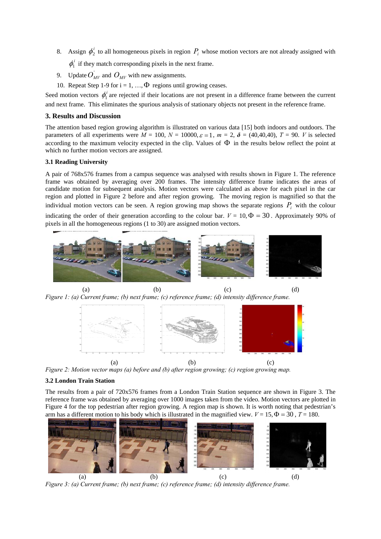- 8. Assign  $\phi_2^i$  to all homogeneous pixels in region  $P_i$  whose motion vectors are not already assigned with  $\phi_i^i$  if they match corresponding pixels in the next frame.
- 9. Update  $O_{MV}$  and  $O_{MV}$  with new assignments.
- 10. Repeat Step 1-9 for  $i = 1, ..., \Phi$  regions until growing ceases.

Seed motion vectors  $\phi_1^i$  are rejected if their locations are not present in a difference frame between the current and next frame. This eliminates the spurious analysis of stationary objects not present in the reference frame.

## **3. Results and Discussion**

The attention based region growing algorithm is illustrated on various data [15] both indoors and outdoors. The parameters of all experiments were  $M = 100$ ,  $N = 10000$ ,  $\varepsilon = 1$ ,  $m = 2$ ,  $\delta = (40, 40, 40)$ ,  $T = 90$ . *V* is selected according to the maximum velocity expected in the clip. Values of  $\Phi$  in the results below reflect the point at which no further motion vectors are assigned.

### **3.1 Reading University**

A pair of 768x576 frames from a campus sequence was analysed with results shown in Figure 1. The reference frame was obtained by averaging over 200 frames. The intensity difference frame indicates the areas of candidate motion for subsequent analysis. Motion vectors were calculated as above for each pixel in the car region and plotted in Figure 2 before and after region growing. The moving region is magnified so that the individual motion vectors can be seen. A region growing map shows the separate regions  $P_i$  with the colour

indicating the order of their generation according to the colour bar.  $V = 10, \Phi = 30$ . Approximately 90% of pixels in all the homogeneous regions (1 to 30) are assigned motion vectors.



(a)  $(b)$   $(c)$   $(d)$ *Figure 1: (a) Current frame; (b) next frame; (c) reference frame; (d) intensity difference frame.*



*Figure 2: Motion vector maps (a) before and (b) after region growing; (c) region growing map.* 

### **3.2 London Train Station**

The results from a pair of 720x576 frames from a London Train Station sequence are shown in Figure 3. The reference frame was obtained by averaging over 1000 images taken from the video. Motion vectors are plotted in Figure 4 for the top pedestrian after region growing. A region map is shown. It is worth noting that pedestrian's arm has a different motion to his body which is illustrated in the magnified view.  $V = 15$ ,  $\Phi = 30$ ,  $T = 180$ .



*Figure 3: (a) Current frame; (b) next frame; (c) reference frame; (d) intensity difference frame.*